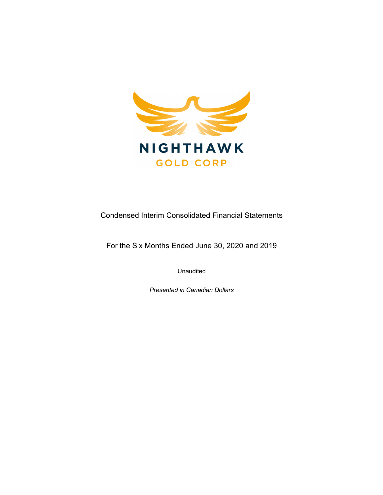

Condensed Interim Consolidated Financial Statements

For the Six Months Ended June 30, 2020 and 2019

Unaudited

Presented in Canadian Dollars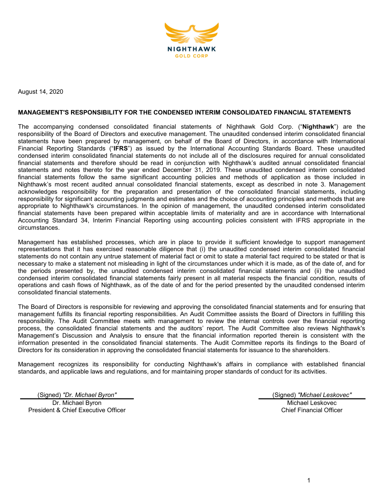

August 14, 2020

#### MANAGEMENT'S RESPONSIBILITY FOR THE CONDENSED INTERIM CONSOLIDATED FINANCIAL STATEMENTS

The accompanying condensed consolidated financial statements of Nighthawk Gold Corp. ("Nighthawk") are the responsibility of the Board of Directors and executive management. The unaudited condensed interim consolidated financial statements have been prepared by management, on behalf of the Board of Directors, in accordance with International Financial Reporting Standards ("IFRS") as issued by the International Accounting Standards Board. These unaudited condensed interim consolidated financial statements do not include all of the disclosures required for annual consolidated financial statements and therefore should be read in conjunction with Nighthawk's audited annual consolidated financial statements and notes thereto for the year ended December 31, 2019. These unaudited condensed interim consolidated financial statements follow the same significant accounting policies and methods of application as those included in Nighthawk's most recent audited annual consolidated financial statements, except as described in note 3. Management acknowledges responsibility for the preparation and presentation of the consolidated financial statements, including responsibility for significant accounting judgments and estimates and the choice of accounting principles and methods that are appropriate to Nighthawk's circumstances. In the opinion of management, the unaudited condensed interim consolidated financial statements have been prepared within acceptable limits of materiality and are in accordance with International Accounting Standard 34, Interim Financial Reporting using accounting policies consistent with IFRS appropriate in the circumstances.

Management has established processes, which are in place to provide it sufficient knowledge to support management representations that it has exercised reasonable diligence that (i) the unaudited condensed interim consolidated financial statements do not contain any untrue statement of material fact or omit to state a material fact required to be stated or that is necessary to make a statement not misleading in light of the circumstances under which it is made, as of the date of, and for the periods presented by, the unaudited condensed interim consolidated financial statements and (ii) the unaudited condensed interim consolidated financial statements fairly present in all material respects the financial condition, results of operations and cash flows of Nighthawk, as of the date of and for the period presented by the unaudited condensed interim consolidated financial statements.

The Board of Directors is responsible for reviewing and approving the consolidated financial statements and for ensuring that management fulfills its financial reporting responsibilities. An Audit Committee assists the Board of Directors in fulfilling this responsibility. The Audit Committee meets with management to review the internal controls over the financial reporting process, the consolidated financial statements and the auditors' report. The Audit Committee also reviews Nighthawk's Management's Discussion and Analysis to ensure that the financial information reported therein is consistent with the information presented in the consolidated financial statements. The Audit Committee reports its findings to the Board of Directors for its consideration in approving the consolidated financial statements for issuance to the shareholders.

Management recognizes its responsibility for conducting Nighthawk's affairs in compliance with established financial standards, and applicable laws and regulations, and for maintaining proper standards of conduct for its activities.

(Signed) "Dr. Michael Byron" (Signed) "Michael Leskovec"

Dr. Michael Byron President & Chief Executive Officer

Michael Leskovec Chief Financial Officer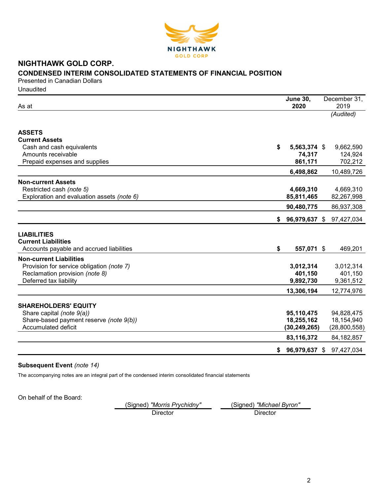

# NIGHTHAWK GOLD CORP. CONDENSED INTERIM CONSOLIDATED STATEMENTS OF FINANCIAL POSITION

Presented in Canadian Dollars **Unaudited** 

| As at                                      |    | <b>June 30,</b><br>2020  | December 31,<br>2019 |
|--------------------------------------------|----|--------------------------|----------------------|
|                                            |    |                          | (Audited)            |
|                                            |    |                          |                      |
| <b>ASSETS</b>                              |    |                          |                      |
| <b>Current Assets</b>                      |    |                          |                      |
| Cash and cash equivalents                  | \$ | 5,563,374 \$             | 9,662,590            |
| Amounts receivable                         |    | 74,317                   | 124,924              |
| Prepaid expenses and supplies              |    | 861,171                  | 702,212              |
|                                            |    | 6,498,862                | 10,489,726           |
| <b>Non-current Assets</b>                  |    |                          |                      |
| Restricted cash (note 5)                   |    | 4,669,310                | 4,669,310            |
| Exploration and evaluation assets (note 6) |    | 85,811,465               | 82,267,998           |
|                                            |    | 90,480,775               | 86,937,308           |
|                                            | S. | 96,979,637 \$            | 97,427,034           |
|                                            |    |                          |                      |
| <b>LIABILITIES</b>                         |    |                          |                      |
| <b>Current Liabilities</b>                 |    |                          |                      |
| Accounts payable and accrued liabilities   | \$ | 557,071 \$               | 469,201              |
| <b>Non-current Liabilities</b>             |    |                          |                      |
| Provision for service obligation (note 7)  |    | 3,012,314                | 3,012,314            |
| Reclamation provision (note 8)             |    | 401,150                  | 401,150              |
| Deferred tax liability                     |    | 9,892,730                | 9,361,512            |
|                                            |    | 13,306,194               | 12,774,976           |
| <b>SHAREHOLDERS' EQUITY</b>                |    |                          |                      |
| Share capital (note 9(a))                  |    |                          | 94,828,475           |
| Share-based payment reserve (note 9(b))    |    | 95,110,475<br>18,255,162 | 18,154,940           |
| Accumulated deficit                        |    | (30, 249, 265)           | (28,800,558)         |
|                                            |    | 83,116,372               | 84, 182, 857         |
|                                            |    |                          |                      |
|                                            | \$ | 96,979,637 \$            | 97,427,034           |

## Subsequent Event (note 14)

The accompanying notes are an integral part of the condensed interim consolidated financial statements

On behalf of the Board:

(Signed) "Morris Prychidny" (Signed) "Michael Byron" Director Director Director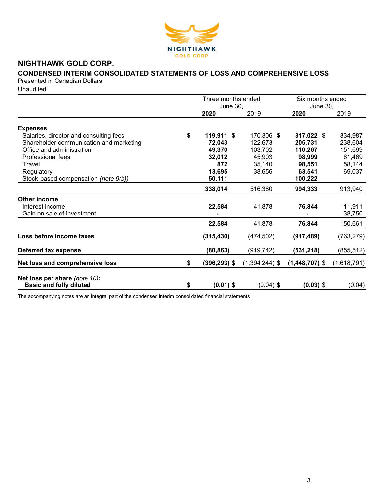

# NIGHTHAWK GOLD CORP.

# CONDENSED INTERIM CONSOLIDATED STATEMENTS OF LOSS AND COMPREHENSIVE LOSS

Presented in Canadian Dollars

**Unaudited** 

|                                         | Three months ended      |                  | Six months ended        |             |  |
|-----------------------------------------|-------------------------|------------------|-------------------------|-------------|--|
|                                         | <b>June 30,</b><br>2020 | 2019             | <b>June 30,</b><br>2020 | 2019        |  |
|                                         |                         |                  |                         |             |  |
| <b>Expenses</b>                         |                         |                  |                         |             |  |
| Salaries, director and consulting fees  | \$<br>119,911 \$        | 170,306 \$       | 317,022 \$              | 334,987     |  |
| Shareholder communication and marketing | 72,043                  | 122,673          | 205,731                 | 238,604     |  |
| Office and administration               | 49,370                  | 103,702          | 110,267                 | 151,699     |  |
| Professional fees                       | 32,012                  | 45,903           | 98,999                  | 61,469      |  |
| Travel                                  | 872                     | 35,140           | 98,551                  | 58,144      |  |
| Regulatory                              | 13,695                  | 38,656           | 63,541                  | 69,037      |  |
| Stock-based compensation (note 9(b))    | 50,111                  |                  | 100,222                 |             |  |
|                                         | 338,014                 | 516,380          | 994,333                 | 913,940     |  |
| Other income                            |                         |                  |                         |             |  |
| Interest income                         | 22,584                  | 41,878           | 76,844                  | 111,911     |  |
| Gain on sale of investment              |                         |                  |                         | 38,750      |  |
|                                         | 22,584                  | 41,878           | 76,844                  | 150,661     |  |
| Loss before income taxes                | (315, 430)              | (474, 502)       | (917, 489)              | (763, 279)  |  |
| Deferred tax expense                    | (80, 863)               | (919, 742)       | (531, 218)              | (855, 512)  |  |
| Net loss and comprehensive loss         | \$<br>$(396, 293)$ \$   | $(1,394,244)$ \$ | $(1,448,707)$ \$        | (1,618,791) |  |
| Net loss per share (note 10):           |                         |                  |                         |             |  |
| <b>Basic and fully diluted</b>          | \$<br>$(0.01)$ \$       | $(0.04)$ \$      | $(0.03)$ \$             | (0.04)      |  |

The accompanying notes are an integral part of the condensed interim consolidated financial statements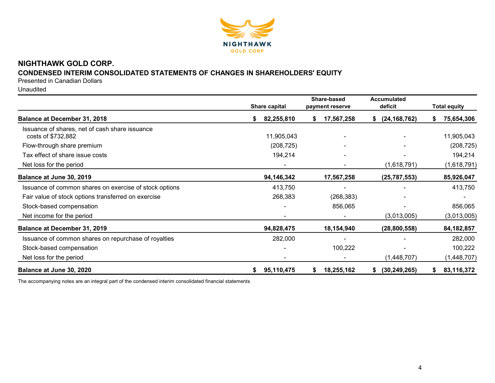

# NIGHTHAWK GOLD CORP.

## CONDENSED INTERIM CONSOLIDATED STATEMENTS OF CHANGES IN SHAREHOLDERS' EQUITY

Presented in Canadian Dollars

Unaudited

|                                                                      |    | Share capital |    | Share-based<br>payment reserve | <b>Accumulated</b><br>deficit | <b>Total equity</b> |              |
|----------------------------------------------------------------------|----|---------------|----|--------------------------------|-------------------------------|---------------------|--------------|
| <b>Balance at December 31, 2018</b>                                  | S  | 82,255,810    | S. | 17,567,258                     | (24, 168, 762)<br>\$          | S.                  | 75,654,306   |
| Issuance of shares, net of cash share issuance<br>costs of \$732,882 |    | 11,905,043    |    |                                |                               |                     | 11,905,043   |
| Flow-through share premium                                           |    | (208, 725)    |    |                                |                               |                     | (208, 725)   |
| Tax effect of share issue costs                                      |    | 194,214       |    |                                |                               |                     | 194,214      |
| Net loss for the period                                              |    |               |    |                                | (1,618,791)                   |                     | (1,618,791)  |
| Balance at June 30, 2019                                             |    | 94,146,342    |    | 17,567,258                     | (25, 787, 553)                |                     | 85,926,047   |
| Issuance of common shares on exercise of stock options               |    | 413,750       |    |                                |                               |                     | 413,750      |
| Fair value of stock options transferred on exercise                  |    | 268,383       |    | (268, 383)                     |                               |                     |              |
| Stock-based compensation                                             |    |               |    | 856,065                        |                               |                     | 856,065      |
| Net income for the period                                            |    |               |    |                                | (3,013,005)                   |                     | (3,013,005)  |
| Balance at December 31, 2019                                         |    | 94,828,475    |    | 18,154,940                     | (28, 800, 558)                |                     | 84, 182, 857 |
| Issuance of common shares on repurchase of royalties                 |    | 282,000       |    |                                |                               |                     | 282,000      |
| Stock-based compensation                                             |    |               |    | 100,222                        |                               |                     | 100,222      |
| Net loss for the period                                              |    |               |    |                                | (1,448,707)                   |                     | (1,448,707)  |
| Balance at June 30, 2020                                             | \$ | 95,110,475    | \$ | 18,255,162                     | (30, 249, 265)<br>S.          |                     | 83,116,372   |

The accompanying notes are an integral part of the condensed interim consolidated financial statements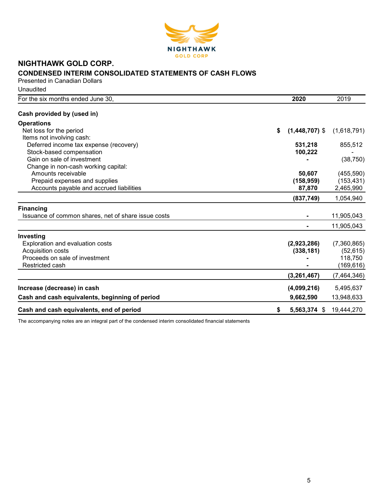

# NIGHTHAWK GOLD CORP. CONDENSED INTERIM CONSOLIDATED STATEMENTS OF CASH FLOWS

Presented in Canadian Dollars **Unaudited** 

| For the six months ended June 30,                   | 2020                   | 2019          |
|-----------------------------------------------------|------------------------|---------------|
|                                                     |                        |               |
| Cash provided by (used in)                          |                        |               |
| <b>Operations</b>                                   |                        |               |
| Net loss for the period                             | \$<br>$(1,448,707)$ \$ | (1,618,791)   |
| Items not involving cash:                           |                        |               |
| Deferred income tax expense (recovery)              | 531,218                | 855,512       |
| Stock-based compensation                            | 100,222                |               |
| Gain on sale of investment                          |                        | (38, 750)     |
| Change in non-cash working capital:                 |                        |               |
| Amounts receivable                                  | 50,607                 | (455, 590)    |
| Prepaid expenses and supplies                       | (158, 959)             | (153, 431)    |
| Accounts payable and accrued liabilities            | 87,870                 | 2,465,990     |
|                                                     | (837, 749)             | 1,054,940     |
| <b>Financing</b>                                    |                        |               |
| Issuance of common shares, net of share issue costs |                        | 11,905,043    |
|                                                     |                        | 11,905,043    |
| Investing                                           |                        |               |
| Exploration and evaluation costs                    | (2,923,286)            | (7,360,865)   |
| Acquisition costs                                   | (338, 181)             | (52, 615)     |
| Proceeds on sale of investment                      |                        | 118,750       |
| Restricted cash                                     |                        | (169, 616)    |
|                                                     | (3, 261, 467)          | (7, 464, 346) |
| Increase (decrease) in cash                         | (4,099,216)            | 5,495,637     |
| Cash and cash equivalents, beginning of period      | 9,662,590              | 13,948,633    |
| Cash and cash equivalents, end of period            | \$<br>5,563,374 \$     | 19,444,270    |

The accompanying notes are an integral part of the condensed interim consolidated financial statements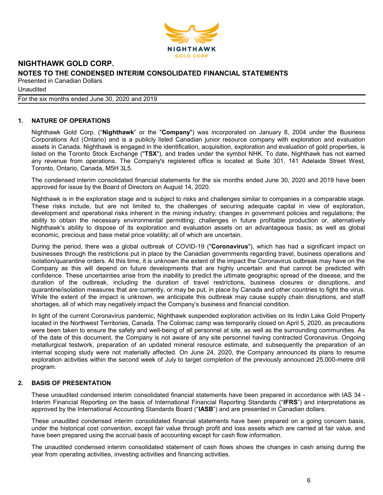

**Unaudited** 

For the six months ended June 30, 2020 and 2019

## 1. NATURE OF OPERATIONS

Nighthawk Gold Corp. ("Nighthawk" or the "Company") was incorporated on January 8, 2004 under the Business Corporations Act (Ontario) and is a publicly listed Canadian junior resource company with exploration and evaluation assets in Canada. Nighthawk is engaged in the identification, acquisition, exploration and evaluation of gold properties, is listed on the Toronto Stock Exchange ("TSX"), and trades under the symbol NHK. To date, Nighthawk has not earned any revenue from operations. The Company's registered office is located at Suite 301, 141 Adelaide Street West, Toronto, Ontario, Canada, M5H 3L5.

The condensed interim consolidated financial statements for the six months ended June 30, 2020 and 2019 have been approved for issue by the Board of Directors on August 14, 2020.

Nighthawk is in the exploration stage and is subject to risks and challenges similar to companies in a comparable stage. These risks include, but are not limited to, the challenges of securing adequate capital in view of exploration, development and operational risks inherent in the mining industry; changes in government policies and regulations; the ability to obtain the necessary environmental permitting; challenges in future profitable production or, alternatively Nighthawk's ability to dispose of its exploration and evaluation assets on an advantageous basis; as well as global economic, precious and base metal price volatility; all of which are uncertain.

During the period, there was a global outbreak of COVID-19 ("Coronavirus"), which has had a significant impact on businesses through the restrictions put in place by the Canadian governments regarding travel, business operations and isolation/quarantine orders. At this time, it is unknown the extent of the impact the Coronavirus outbreak may have on the Company as this will depend on future developments that are highly uncertain and that cannot be predicted with confidence. These uncertainties arise from the inability to predict the ultimate geographic spread of the disease, and the duration of the outbreak, including the duration of travel restrictions, business closures or disruptions, and quarantine/isolation measures that are currently, or may be put, in place by Canada and other countries to fight the virus. While the extent of the impact is unknown, we anticipate this outbreak may cause supply chain disruptions, and staff shortages, all of which may negatively impact the Company's business and financial condition.

In light of the current Coronavirus pandemic, Nighthawk suspended exploration activities on its Indin Lake Gold Property located in the Northwest Territories, Canada. The Colomac camp was temporarily closed on April 5, 2020, as precautions were been taken to ensure the safety and well-being of all personnel at site, as well as the surrounding communities. As of the date of this document, the Company is not aware of any site personnel having contracted Coronavirus. Ongoing metallurgical testwork, preparation of an updated mineral resource estimate, and subsequently the preparation of an internal scoping study were not materially affected. On June 24, 2020, the Company announced its plans to resume exploration activities within the second week of July to target completion of the previously announced 25,000-metre drill program.

## 2. BASIS OF PRESENTATION

These unaudited condensed interim consolidated financial statements have been prepared in accordance with IAS 34 - Interim Financial Reporting on the basis of International Financial Reporting Standards ("IFRS") and interpretations as approved by the International Accounting Standards Board ("IASB") and are presented in Canadian dollars.

These unaudited condensed interim consolidated financial statements have been prepared on a going concern basis, under the historical cost convention, except fair value through profit and loss assets which are carried at fair value, and have been prepared using the accrual basis of accounting except for cash flow information.

The unaudited condensed interim consolidated statement of cash flows shows the changes in cash arising during the year from operating activities, investing activities and financing activities.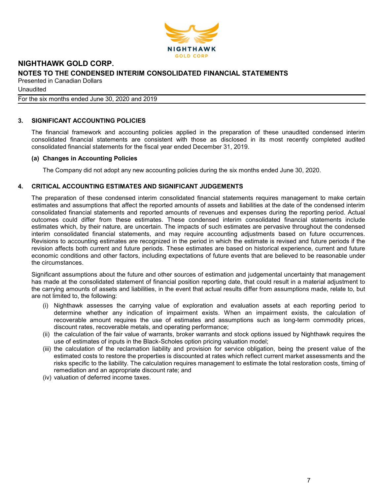

Unaudited

For the six months ended June 30, 2020 and 2019

## 3. SIGNIFICANT ACCOUNTING POLICIES

The financial framework and accounting policies applied in the preparation of these unaudited condensed interim consolidated financial statements are consistent with those as disclosed in its most recently completed audited consolidated financial statements for the fiscal year ended December 31, 2019.

#### (a) Changes in Accounting Policies

The Company did not adopt any new accounting policies during the six months ended June 30, 2020.

## 4. CRITICAL ACCOUNTING ESTIMATES AND SIGNIFICANT JUDGEMENTS

The preparation of these condensed interim consolidated financial statements requires management to make certain estimates and assumptions that affect the reported amounts of assets and liabilities at the date of the condensed interim consolidated financial statements and reported amounts of revenues and expenses during the reporting period. Actual outcomes could differ from these estimates. These condensed interim consolidated financial statements include estimates which, by their nature, are uncertain. The impacts of such estimates are pervasive throughout the condensed interim consolidated financial statements, and may require accounting adjustments based on future occurrences. Revisions to accounting estimates are recognized in the period in which the estimate is revised and future periods if the revision affects both current and future periods. These estimates are based on historical experience, current and future economic conditions and other factors, including expectations of future events that are believed to be reasonable under the circumstances.

Significant assumptions about the future and other sources of estimation and judgemental uncertainty that management has made at the consolidated statement of financial position reporting date, that could result in a material adjustment to the carrying amounts of assets and liabilities, in the event that actual results differ from assumptions made, relate to, but are not limited to, the following:

- (i) Nighthawk assesses the carrying value of exploration and evaluation assets at each reporting period to determine whether any indication of impairment exists. When an impairment exists, the calculation of recoverable amount requires the use of estimates and assumptions such as long-term commodity prices, discount rates, recoverable metals, and operating performance;
- (ii) the calculation of the fair value of warrants, broker warrants and stock options issued by Nighthawk requires the use of estimates of inputs in the Black-Scholes option pricing valuation model;
- (iii) the calculation of the reclamation liability and provision for service obligation, being the present value of the estimated costs to restore the properties is discounted at rates which reflect current market assessments and the risks specific to the liability. The calculation requires management to estimate the total restoration costs, timing of remediation and an appropriate discount rate; and
- (iv) valuation of deferred income taxes.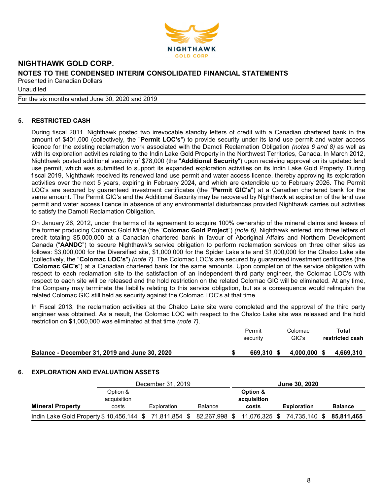

**Unaudited** 

For the six months ended June 30, 2020 and 2019

## 5. RESTRICTED CASH

During fiscal 2011, Nighthawk posted two irrevocable standby letters of credit with a Canadian chartered bank in the amount of \$401,000 (collectively, the "Permit LOC's") to provide security under its land use permit and water access licence for the existing reclamation work associated with the Damoti Reclamation Obligation (notes 6 and 8) as well as with its exploration activities relating to the Indin Lake Gold Property in the Northwest Territories, Canada. In March 2012, Nighthawk posted additional security of \$78,000 (the "Additional Security") upon receiving approval on its updated land use permit, which was submitted to support its expanded exploration activities on its Indin Lake Gold Property. During fiscal 2019, Nighthawk received its renewed land use permit and water access licence, thereby approving its exploration activities over the next 5 years, expiring in February 2024, and which are extendible up to February 2026. The Permit LOC's are secured by guaranteed investment certificates (the "Permit GIC's") at a Canadian chartered bank for the same amount. The Permit GIC's and the Additional Security may be recovered by Nighthawk at expiration of the land use permit and water access licence in absence of any environmental disturbances provided Nighthawk carries out activities to satisfy the Damoti Reclamation Obligation.

On January 26, 2012, under the terms of its agreement to acquire 100% ownership of the mineral claims and leases of the former producing Colomac Gold Mine (the "Colomac Gold Project") (note 6), Nighthawk entered into three letters of credit totaling \$5,000,000 at a Canadian chartered bank in favour of Aboriginal Affairs and Northern Development Canada ("AANDC") to secure Nighthawk's service obligation to perform reclamation services on three other sites as follows: \$3,000,000 for the Diversified site, \$1,000,000 for the Spider Lake site and \$1,000,000 for the Chalco Lake site (collectively, the "Colomac LOC's") (note 7). The Colomac LOC's are secured by guaranteed investment certificates (the "Colomac GIC's") at a Canadian chartered bank for the same amounts. Upon completion of the service obligation with respect to each reclamation site to the satisfaction of an independent third party engineer, the Colomac LOC's with respect to each site will be released and the hold restriction on the related Colomac GIC will be eliminated. At any time, the Company may terminate the liability relating to this service obligation, but as a consequence would relinquish the related Colomac GIC still held as security against the Colomac LOC's at that time.

In Fiscal 2013, the reclamation activities at the Chalco Lake site were completed and the approval of the third party engineer was obtained. As a result, the Colomac LOC with respect to the Chalco Lake site was released and the hold restriction on \$1,000,000 was eliminated at that time (note 7).

|                                               | Permit<br>security | Colomac<br>GIC's | Total<br>restricted cash |
|-----------------------------------------------|--------------------|------------------|--------------------------|
| Balance - December 31, 2019 and June 30, 2020 | 669.310 \$         | $4,000,000$ \$   | 4.669.310                |

#### 6. EXPLORATION AND EVALUATION ASSETS

|                                                                     |             | December 31, 2019 |                |               | <b>June 30, 2020</b> |                |
|---------------------------------------------------------------------|-------------|-------------------|----------------|---------------|----------------------|----------------|
|                                                                     | Option &    |                   |                | Option &      |                      |                |
|                                                                     | acquisition |                   |                | acquisition   |                      |                |
| <b>Mineral Property</b>                                             | costs       | Exploration       | <b>Balance</b> | costs         | <b>Exploration</b>   | <b>Balance</b> |
| Indin Lake Gold Property \$ 10,456,144 \$71,811,854 \$82,267,998 \$ |             |                   |                | 11,076,325 \$ | 74,735,140 \$        | 85.811.465     |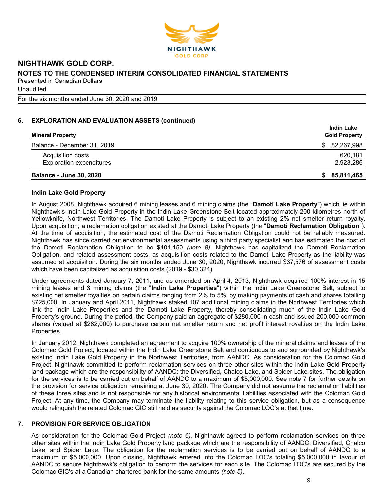

For the six months ended June 30, 2020 and 2019

## 6. EXPLORATION AND EVALUATION ASSETS (continued)

|                                 | <b>Indin Lake</b>    |
|---------------------------------|----------------------|
| <b>Mineral Property</b>         | <b>Gold Property</b> |
| Balance - December 31, 2019     | \$82,267,998         |
| Acquisition costs               | 620.181              |
| <b>Exploration expenditures</b> | 2,923,286            |
| <b>Balance - June 30, 2020</b>  | 85,811,465<br>S.     |

### Indin Lake Gold Property

In August 2008, Nighthawk acquired 6 mining leases and 6 mining claims (the "Damoti Lake Property") which lie within Nighthawk's Indin Lake Gold Property in the Indin Lake Greenstone Belt located approximately 200 kilometres north of Yellowknife, Northwest Territories. The Damoti Lake Property is subject to an existing 2% net smelter return royalty. Upon acquisition, a reclamation obligation existed at the Damoti Lake Property (the "Damoti Reclamation Obligation"). At the time of acquisition, the estimated cost of the Damoti Reclamation Obligation could not be reliably measured. Nighthawk has since carried out environmental assessments using a third party specialist and has estimated the cost of the Damoti Reclamation Obligation to be \$401,150 (note 8). Nighthawk has capitalized the Damoti Reclamation Obligation, and related assessment costs, as acquisition costs related to the Damoti Lake Property as the liability was assumed at acquisition. During the six months ended June 30, 2020, Nighthawk incurred \$37,576 of assessment costs which have been capitalized as acquisition costs (2019 - \$30,324).

Under agreements dated January 7, 2011, and as amended on April 4, 2013, Nighthawk acquired 100% interest in 15 mining leases and 3 mining claims (the "Indin Lake Properties") within the Indin Lake Greenstone Belt, subject to existing net smelter royalties on certain claims ranging from 2% to 5%, by making payments of cash and shares totalling \$725,000. In January and April 2011, Nighthawk staked 107 additional mining claims in the Northwest Territories which link the Indin Lake Properties and the Damoti Lake Property, thereby consolidating much of the Indin Lake Gold Property's ground. During the period, the Company paid an aggregate of \$280,000 in cash and issued 200,000 common shares (valued at \$282,000) to purchase certain net smelter return and net profit interest royalties on the Indin Lake Properties.

In January 2012, Nighthawk completed an agreement to acquire 100% ownership of the mineral claims and leases of the Colomac Gold Project, located within the Indin Lake Greenstone Belt and contiguous to and surrounded by Nighthawk's existing Indin Lake Gold Property in the Northwest Territories, from AANDC. As consideration for the Colomac Gold Project, Nighthawk committed to perform reclamation services on three other sites within the Indin Lake Gold Property land package which are the responsibility of AANDC: the Diversified, Chalco Lake, and Spider Lake sites. The obligation for the services is to be carried out on behalf of AANDC to a maximum of \$5,000,000. See note 7 for further details on the provision for service obligation remaining at June 30, 2020. The Company did not assume the reclamation liabilities of these three sites and is not responsible for any historical environmental liabilities associated with the Colomac Gold Project. At any time, the Company may terminate the liability relating to this service obligation, but as a consequence would relinquish the related Colomac GIC still held as security against the Colomac LOC's at that time.

#### 7. PROVISION FOR SERVICE OBLIGATION

As consideration for the Colomac Gold Project *(note 6)*, Nighthawk agreed to perform reclamation services on three other sites within the Indin Lake Gold Property land package which are the responsibility of AANDC: Diversified, Chalco Lake, and Spider Lake. The obligation for the reclamation services is to be carried out on behalf of AANDC to a maximum of \$5,000,000. Upon closing, Nighthawk entered into the Colomac LOC's totaling \$5,000,000 in favour of AANDC to secure Nighthawk's obligation to perform the services for each site. The Colomac LOC's are secured by the Colomac GIC's at a Canadian chartered bank for the same amounts (note 5).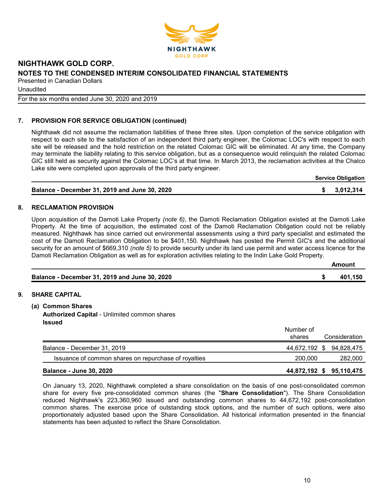

Unaudited

For the six months ended June 30, 2020 and 2019

## 7. PROVISION FOR SERVICE OBLIGATION (continued)

Nighthawk did not assume the reclamation liabilities of these three sites. Upon completion of the service obligation with respect to each site to the satisfaction of an independent third party engineer, the Colomac LOC's with respect to each site will be released and the hold restriction on the related Colomac GIC will be eliminated. At any time, the Company may terminate the liability relating to this service obligation, but as a consequence would relinquish the related Colomac GIC still held as security against the Colomac LOC's at that time. In March 2013, the reclamation activities at the Chalco Lake site were completed upon approvals of the third party engineer.

| <b>Service Obligation</b> |
|---------------------------|
|---------------------------|

|  | Balance - December 31, 2019 and June 30, 2020 |  | \$3,012,314 |
|--|-----------------------------------------------|--|-------------|
|--|-----------------------------------------------|--|-------------|

### 8. RECLAMATION PROVISION

Upon acquisition of the Damoti Lake Property (note 6), the Damoti Reclamation Obligation existed at the Damoti Lake Property. At the time of acquisition, the estimated cost of the Damoti Reclamation Obligation could not be reliably measured. Nighthawk has since carried out environmental assessments using a third party specialist and estimated the cost of the Damoti Reclamation Obligation to be \$401,150. Nighthawk has posted the Permit GIC's and the additional security for an amount of \$669,310 *(note 5)* to provide security under its land use permit and water access licence for the Damoti Reclamation Obligation as well as for exploration activities relating to the Indin Lake Gold Property.

|                                               | Amount  |
|-----------------------------------------------|---------|
| Balance - December 31, 2019 and June 30, 2020 | 401.150 |

## 9. SHARE CAPITAL

- (a) Common Shares
	- Authorized Capital Unlimited common shares Issued

|                                                      | Number of<br>shares      | Consideration |
|------------------------------------------------------|--------------------------|---------------|
| Balance - December 31, 2019                          | 44,672,192 \$ 94,828,475 |               |
| Issuance of common shares on repurchase of royalties | 200,000                  | 282,000       |
| <b>Balance - June 30, 2020</b>                       | 44,872,192 \$ 95,110,475 |               |

On January 13, 2020, Nighthawk completed a share consolidation on the basis of one post-consolidated common share for every five pre-consolidated common shares (the "Share Consolidation"). The Share Consolidation reduced Nighthawk's 223,360,960 issued and outstanding common shares to 44,672,192 post-consolidation common shares. The exercise price of outstanding stock options, and the number of such options, were also proportionately adjusted based upon the Share Consolidation. All historical information presented in the financial statements has been adjusted to reflect the Share Consolidation.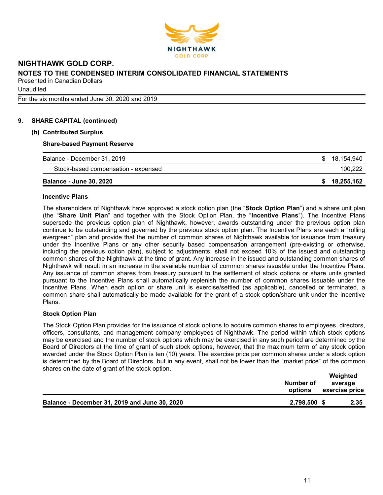

**Unaudited** 

For the six months ended June 30, 2020 and 2019

## 9. SHARE CAPITAL (continued)

#### (b) Contributed Surplus

#### Share-based Payment Reserve

| Balance - December 31, 2019         | 18,154,940 |
|-------------------------------------|------------|
| Stock-based compensation - expensed | 100,222    |
| <b>Balance - June 30, 2020</b>      | 18,255,162 |

#### Incentive Plans

The shareholders of Nighthawk have approved a stock option plan (the "Stock Option Plan") and a share unit plan (the "Share Unit Plan" and together with the Stock Option Plan, the "Incentive Plans"). The Incentive Plans supersede the previous option plan of Nighthawk, however, awards outstanding under the previous option plan continue to be outstanding and governed by the previous stock option plan. The Incentive Plans are each a "rolling evergreen" plan and provide that the number of common shares of Nighthawk available for issuance from treasury under the Incentive Plans or any other security based compensation arrangement (pre-existing or otherwise, including the previous option plan), subject to adjustments, shall not exceed 10% of the issued and outstanding common shares of the Nighthawk at the time of grant. Any increase in the issued and outstanding common shares of Nighthawk will result in an increase in the available number of common shares issuable under the Incentive Plans. Any issuance of common shares from treasury pursuant to the settlement of stock options or share units granted pursuant to the Incentive Plans shall automatically replenish the number of common shares issuable under the Incentive Plans. When each option or share unit is exercise/settled (as applicable), cancelled or terminated, a common share shall automatically be made available for the grant of a stock option/share unit under the Incentive Plans.

#### Stock Option Plan

The Stock Option Plan provides for the issuance of stock options to acquire common shares to employees, directors, officers, consultants, and management company employees of Nighthawk. The period within which stock options may be exercised and the number of stock options which may be exercised in any such period are determined by the Board of Directors at the time of grant of such stock options, however, that the maximum term of any stock option awarded under the Stock Option Plan is ten (10) years. The exercise price per common shares under a stock option is determined by the Board of Directors, but in any event, shall not be lower than the "market price" of the common shares on the date of grant of the stock option.

| Number of<br>options                                          | Weighted<br>average<br>exercise price |
|---------------------------------------------------------------|---------------------------------------|
| 2,798,500 \$<br>Balance - December 31, 2019 and June 30, 2020 | 2.35                                  |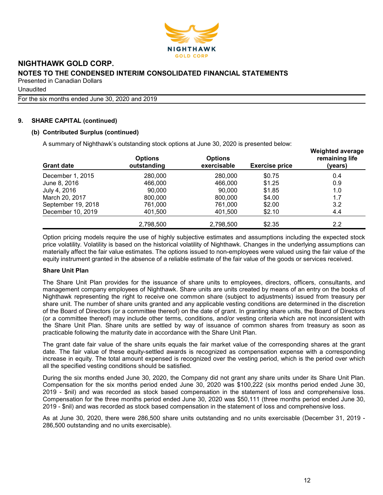

**Unaudited** 

For the six months ended June 30, 2020 and 2019

## 9. SHARE CAPITAL (continued)

### (b) Contributed Surplus (continued)

A summary of Nighthawk's outstanding stock options at June 30, 2020 is presented below:

| <b>Grant date</b>  | <b>Options</b><br>outstanding | <b>Options</b><br>exercisable | <b>Exercise price</b> | <b>Weighted average</b><br>remaining life<br>(years) |
|--------------------|-------------------------------|-------------------------------|-----------------------|------------------------------------------------------|
| December 1, 2015   | 280,000                       | 280,000                       | \$0.75                | 0.4                                                  |
| June 8, 2016       | 466,000                       | 466,000                       | \$1.25                | 0.9                                                  |
| July 4, 2016       | 90,000                        | 90.000                        | \$1.85                | 1.0                                                  |
| March 20, 2017     | 800,000                       | 800,000                       | \$4.00                | 1.7                                                  |
| September 19, 2018 | 761,000                       | 761,000                       | \$2.00                | 3.2                                                  |
| December 10, 2019  | 401,500                       | 401,500                       | \$2.10                | 4.4                                                  |
|                    | 2,798,500                     | 2.798.500                     | \$2.35                | 2.2                                                  |

Option pricing models require the use of highly subjective estimates and assumptions including the expected stock price volatility. Volatility is based on the historical volatility of Nighthawk. Changes in the underlying assumptions can materially affect the fair value estimates. The options issued to non-employees were valued using the fair value of the equity instrument granted in the absence of a reliable estimate of the fair value of the goods or services received.

#### Share Unit Plan

The Share Unit Plan provides for the issuance of share units to employees, directors, officers, consultants, and management company employees of Nighthawk. Share units are units created by means of an entry on the books of Nighthawk representing the right to receive one common share (subject to adjustments) issued from treasury per share unit. The number of share units granted and any applicable vesting conditions are determined in the discretion of the Board of Directors (or a committee thereof) on the date of grant. In granting share units, the Board of Directors (or a committee thereof) may include other terms, conditions, and/or vesting criteria which are not inconsistent with the Share Unit Plan. Share units are settled by way of issuance of common shares from treasury as soon as practicable following the maturity date in accordance with the Share Unit Plan.

The grant date fair value of the share units equals the fair market value of the corresponding shares at the grant date. The fair value of these equity-settled awards is recognized as compensation expense with a corresponding increase in equity. The total amount expensed is recognized over the vesting period, which is the period over which all the specified vesting conditions should be satisfied.

During the six months ended June 30, 2020, the Company did not grant any share units under its Share Unit Plan. Compensation for the six months period ended June 30, 2020 was \$100,222 (six months period ended June 30, 2019 - \$nil) and was recorded as stock based compensation in the statement of loss and comprehensive loss. Compensation for the three months period ended June 30, 2020 was \$50,111 (three months period ended June 30, 2019 - \$nil) and was recorded as stock based compensation in the statement of loss and comprehensive loss.

As at June 30, 2020, there were 286,500 share units outstanding and no units exercisable (December 31, 2019 - 286,500 outstanding and no units exercisable).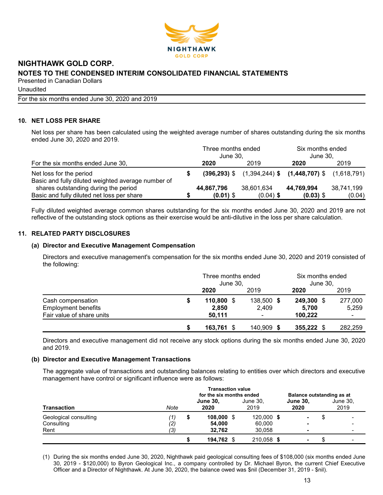

**Unaudited** 

For the six months ended June 30, 2020 and 2019

## 10. NET LOSS PER SHARE

Net loss per share has been calculated using the weighted average number of shares outstanding during the six months ended June 30, 2020 and 2019.

| For the six months ended June 30,                                             |  | Three months ended<br>June 30. |             | Six months ended<br>June 30.                                   |            |  |  |
|-------------------------------------------------------------------------------|--|--------------------------------|-------------|----------------------------------------------------------------|------------|--|--|
|                                                                               |  | 2020                           | 2019        | 2020                                                           | 2019       |  |  |
| Net loss for the period<br>Basic and fully diluted weighted average number of |  |                                |             | $(396,293)$ \$ $(1,394,244)$ \$ $(1,448,707)$ \$ $(1,618,791)$ |            |  |  |
| shares outstanding during the period                                          |  | 44,867,796                     | 38,601,634  | 44,769,994                                                     | 38,741,199 |  |  |
| Basic and fully diluted net loss per share                                    |  | $(0.01)$ \$                    | $(0.04)$ \$ | $(0.03)$ \$                                                    | (0.04)     |  |  |

Fully diluted weighted average common shares outstanding for the six months ended June 30, 2020 and 2019 are not reflective of the outstanding stock options as their exercise would be anti-dilutive in the loss per share calculation.

## 11. RELATED PARTY DISCLOSURES

## (a) Director and Executive Management Compensation

Directors and executive management's compensation for the six months ended June 30, 2020 and 2019 consisted of the following:

|                            | Three months ended<br>June 30, |            | Six months ended<br>June 30, |         |  |
|----------------------------|--------------------------------|------------|------------------------------|---------|--|
|                            | 2020                           | 2019       | 2020                         | 2019    |  |
| Cash compensation          | 110,800 \$                     | 138,500 \$ | 249,300 \$                   | 277,000 |  |
| <b>Employment benefits</b> | 2.850                          | 2.409      | 5.700                        | 5,259   |  |
| Fair value of share units  | 50,111                         |            | 100,222                      |         |  |
|                            | 163,761 \$                     | 140,909 \$ | 355,222 \$                   | 282,259 |  |

Directors and executive management did not receive any stock options during the six months ended June 30, 2020 and 2019.

#### (b) Director and Executive Management Transactions

The aggregate value of transactions and outstanding balances relating to entities over which directors and executive management have control or significant influence were as follows:

|                       |            | <b>Transaction value</b><br>for the six months ended |                         |  |                  |  | Balance outstanding as at |    |                  |  |
|-----------------------|------------|------------------------------------------------------|-------------------------|--|------------------|--|---------------------------|----|------------------|--|
| <b>Transaction</b>    | Note       |                                                      | <b>June 30,</b><br>2020 |  | June 30,<br>2019 |  | <b>June 30,</b><br>2020   |    | June 30,<br>2019 |  |
| Geological consulting | (1)        | S                                                    | 108,000 \$              |  | 120,000 \$       |  | $\blacksquare$            | ۰D |                  |  |
| Consulting<br>Rent    | (2)<br>(3) |                                                      | 54,000<br>32,762        |  | 60,000<br>30,058 |  | -<br>-                    |    |                  |  |
|                       |            |                                                      | 194,762 \$              |  | 210,058 \$       |  | -                         |    |                  |  |

(1) During the six months ended June 30, 2020, Nighthawk paid geological consulting fees of \$108,000 (six months ended June 30, 2019 - \$120,000) to Byron Geological Inc., a company controlled by Dr. Michael Byron, the current Chief Executive Officer and a Director of Nighthawk. At June 30, 2020, the balance owed was \$nil (December 31, 2019 - \$nil).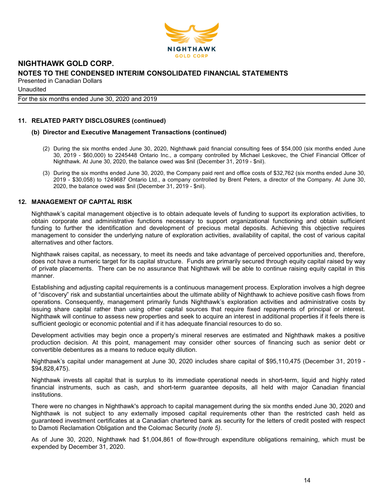

**Unaudited** 

For the six months ended June 30, 2020 and 2019

### 11. RELATED PARTY DISCLOSURES (continued)

#### (b) Director and Executive Management Transactions (continued)

- (2) During the six months ended June 30, 2020, Nighthawk paid financial consulting fees of \$54,000 (six months ended June 30, 2019 - \$60,000) to 2245448 Ontario Inc., a company controlled by Michael Leskovec, the Chief Financial Officer of Nighthawk. At June 30, 2020, the balance owed was \$nil (December 31, 2019 - \$nil).
- (3) During the six months ended June 30, 2020, the Company paid rent and office costs of \$32,762 (six months ended June 30, 2019 - \$30,058) to 1249687 Ontario Ltd., a company controlled by Brent Peters, a director of the Company. At June 30, 2020, the balance owed was \$nil (December 31, 2019 - \$nil).

#### 12. MANAGEMENT OF CAPITAL RISK

Nighthawk's capital management objective is to obtain adequate levels of funding to support its exploration activities, to obtain corporate and administrative functions necessary to support organizational functioning and obtain sufficient funding to further the identification and development of precious metal deposits. Achieving this objective requires management to consider the underlying nature of exploration activities, availability of capital, the cost of various capital alternatives and other factors.

Nighthawk raises capital, as necessary, to meet its needs and take advantage of perceived opportunities and, therefore, does not have a numeric target for its capital structure. Funds are primarily secured through equity capital raised by way of private placements. There can be no assurance that Nighthawk will be able to continue raising equity capital in this manner.

Establishing and adjusting capital requirements is a continuous management process. Exploration involves a high degree of "discovery" risk and substantial uncertainties about the ultimate ability of Nighthawk to achieve positive cash flows from operations. Consequently, management primarily funds Nighthawk's exploration activities and administrative costs by issuing share capital rather than using other capital sources that require fixed repayments of principal or interest. Nighthawk will continue to assess new properties and seek to acquire an interest in additional properties if it feels there is sufficient geologic or economic potential and if it has adequate financial resources to do so.

Development activities may begin once a property's mineral reserves are estimated and Nighthawk makes a positive production decision. At this point, management may consider other sources of financing such as senior debt or convertible debentures as a means to reduce equity dilution.

Nighthawk's capital under management at June 30, 2020 includes share capital of \$95,110,475 (December 31, 2019 - \$94,828,475).

Nighthawk invests all capital that is surplus to its immediate operational needs in short-term, liquid and highly rated financial instruments, such as cash, and short-term guarantee deposits, all held with major Canadian financial institutions.

There were no changes in Nighthawk's approach to capital management during the six months ended June 30, 2020 and Nighthawk is not subject to any externally imposed capital requirements other than the restricted cash held as guaranteed investment certificates at a Canadian chartered bank as security for the letters of credit posted with respect to Damoti Reclamation Obligation and the Colomac Security (note 5).

As of June 30, 2020, Nighthawk had \$1,004,861 of flow-through expenditure obligations remaining, which must be expended by December 31, 2020.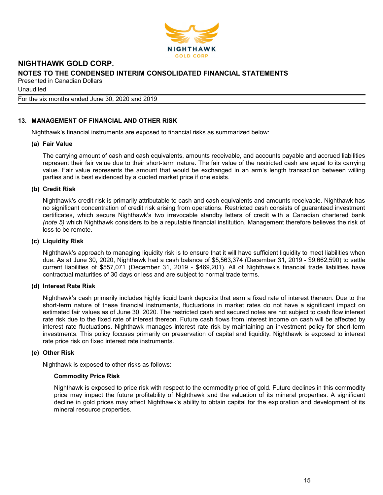

Unaudited

For the six months ended June 30, 2020 and 2019

## 13. MANAGEMENT OF FINANCIAL AND OTHER RISK

Nighthawk's financial instruments are exposed to financial risks as summarized below:

#### (a) Fair Value

The carrying amount of cash and cash equivalents, amounts receivable, and accounts payable and accrued liabilities represent their fair value due to their short-term nature. The fair value of the restricted cash are equal to its carrying value. Fair value represents the amount that would be exchanged in an arm's length transaction between willing parties and is best evidenced by a quoted market price if one exists.

#### (b) Credit Risk

Nighthawk's credit risk is primarily attributable to cash and cash equivalents and amounts receivable. Nighthawk has no significant concentration of credit risk arising from operations. Restricted cash consists of guaranteed investment certificates, which secure Nighthawk's two irrevocable standby letters of credit with a Canadian chartered bank (note 5) which Nighthawk considers to be a reputable financial institution. Management therefore believes the risk of loss to be remote.

#### (c) Liquidity Risk

Nighthawk's approach to managing liquidity risk is to ensure that it will have sufficient liquidity to meet liabilities when due. As at June 30, 2020, Nighthawk had a cash balance of \$5,563,374 (December 31, 2019 - \$9,662,590) to settle current liabilities of \$557,071 (December 31, 2019 - \$469,201). All of Nighthawk's financial trade liabilities have contractual maturities of 30 days or less and are subject to normal trade terms.

#### (d) Interest Rate Risk

Nighthawk's cash primarily includes highly liquid bank deposits that earn a fixed rate of interest thereon. Due to the short-term nature of these financial instruments, fluctuations in market rates do not have a significant impact on estimated fair values as of June 30, 2020. The restricted cash and secured notes are not subject to cash flow interest rate risk due to the fixed rate of interest thereon. Future cash flows from interest income on cash will be affected by interest rate fluctuations. Nighthawk manages interest rate risk by maintaining an investment policy for short-term investments. This policy focuses primarily on preservation of capital and liquidity. Nighthawk is exposed to interest rate price risk on fixed interest rate instruments.

#### (e) Other Risk

Nighthawk is exposed to other risks as follows:

#### Commodity Price Risk

Nighthawk is exposed to price risk with respect to the commodity price of gold. Future declines in this commodity price may impact the future profitability of Nighthawk and the valuation of its mineral properties. A significant decline in gold prices may affect Nighthawk's ability to obtain capital for the exploration and development of its mineral resource properties.